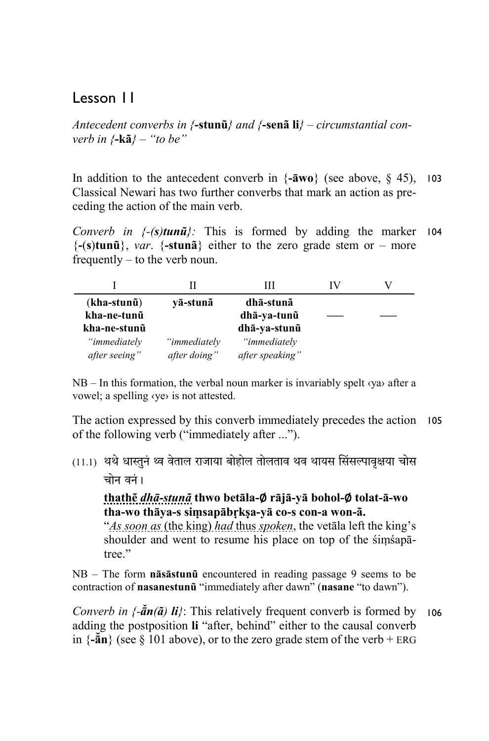# Lesson 11

*Antecedent converbs in {***-stunũ***} and {***-senã li***} – circumstantial converb in {***-kã***} – "to be"* 

In addition to the antecedent converb in {**-āwo**} (see above, § 45), 103 Classical Newari has two further converbs that mark an action as preceding the action of the main verb.

*Converb in {-(s)tunũ}:* This is formed by adding the marker 104 {**-**(**s**)**tunũ**}, *var*. {**-stunã**} either to the zero grade stem or – more frequently – to the verb noun.

| $(kha-stun\tilde{u})$ | vā-stunā     | dhā-stunã       |  |
|-----------------------|--------------|-----------------|--|
| kha-ne-tunũ           |              | dhā-ya-tunũ     |  |
| kha-ne-stunũ          |              | dhā-ya-stunū    |  |
| "immediately          | "immediately | "immediately    |  |
| after seeing"         | after doing" | after speaking" |  |

 $NB - In this formation, the verbal noun marker is invariably spelt  $\langle ya \rangle$  after a$ vowel; a spelling ‹ye› is not attested.

The action expressed by this converb immediately precedes the action 105 of the following verb ("immediately after ...").

(11.1) थर्थ धास्तुनं थ्व वेताल राजाया बोहोल तोलताव थव थायस सिंसल्पावृक्षया चोस चोन वनं ।

**thathẽ** *dhā-stunã* **thwo betāla-**∅ **rājā-yā bohol-**∅ **tolat-ā-wo tha-wo thāya-s siṃsapābṛkṣa-yā co-s con-a won-ã.** 

"*As soon as* (the king) *had* thus *spoken*, the vetāla left the king's shoulder and went to resume his place on top of the śiṃśapātree."

NB – The form **nāsāstunũ** encountered in reading passage 9 seems to be contraction of **nasanestunũ** "immediately after dawn" (**nasane** "to dawn").

*Converb in {-ā̆n(ã) li}*: This relatively frequent converb is formed by 106adding the postposition **li** "after, behind" either to the causal converb in  $\{-\bar{a}n\}$  (see § 101 above), or to the zero grade stem of the verb + ERG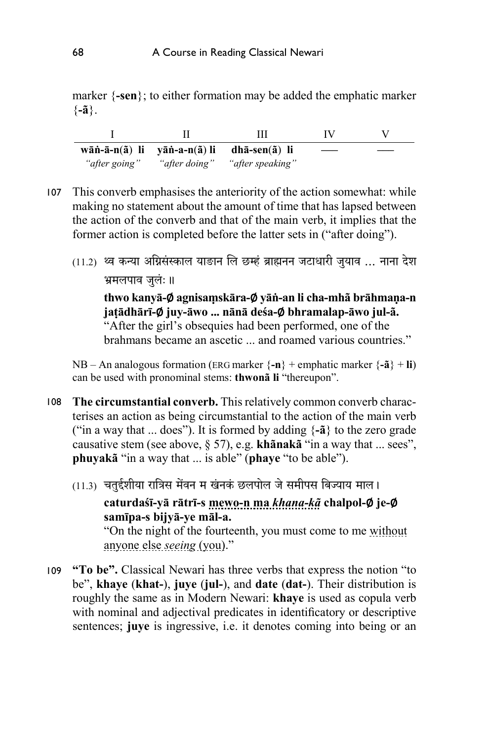marker {**-sen**}; to either formation may be added the emphatic marker {**-ã**}.

|               | Ш                                                                             | IV |  |
|---------------|-------------------------------------------------------------------------------|----|--|
|               | wāṅ-ā-n( $\tilde{a}$ ) li yāṅ-a-n( $\tilde{a}$ ) li dhā-sen( $\tilde{a}$ ) li |    |  |
| "after going" | "after doing" "after speaking"                                                |    |  |

- This converb emphasises the anteriority of the action somewhat: while 107 making no statement about the amount of time that has lapsed between the action of the converb and that of the main verb, it implies that the former action is completed before the latter sets in ("after doing").
	- (11.2) थ्व कन्या अग्निसंस्काल याङान लि छम्हं ब्राह्मनन जटाधारी जुयाव ... नाना देश भ्रमलपाव जुलंः ॥

**thwo kanyā-**∅ **agnisaṃskāra-**∅ **yāṅ-an li cha-mhã brāhmaṇa-n jaṭādhārī-**∅ **juy-āwo ... nānā deśa-**∅ **bhramalap-āwo jul-ã.**  "After the girl's obsequies had been performed, one of the brahmans became an ascetic ... and roamed various countries."

NB – An analogous formation (ERG marker  $\{-n\}$  + emphatic marker  $\{-\tilde{a}\}$  + **li**) can be used with pronominal stems: **thwonã li** "thereupon".

- **The circumstantial converb.** This relatively common converb charac-108 terises an action as being circumstantial to the action of the main verb ("in a way that ... does"). It is formed by adding {**-ã**} to the zero grade causative stem (see above, § 57), e.g. **khãnakã** "in a way that ... sees", **phuyakã** "in a way that ... is able" (**phaye** "to be able").
	- (11.3) चतुईशीया रात्रिस मेंवन म खंनकं छलपोल जे समीपस बिज्याय माल। **caturdaśī-yā rātrī-s mewo-n ma** *khana-kã* **chalpol-**∅ **je-**∅ **samīpa-s bijyā-ye māl-a.**  "On the night of the fourteenth, you must come to me without anyone else *seeing* (you)."
- **"To be".** Classical Newari has three verbs that express the notion "to 109be", **khaye** (**khat-**), **juye** (**jul-**), and **date** (**dat-**). Their distribution is roughly the same as in Modern Newari: **khaye** is used as copula verb with nominal and adjectival predicates in identificatory or descriptive sentences; **juye** is ingressive, i.e. it denotes coming into being or an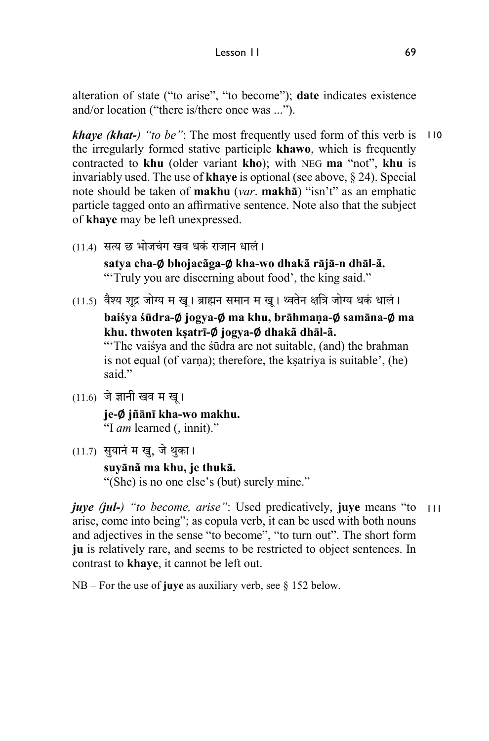alteration of state ("to arise", "to become"); **date** indicates existence and/or location ("there is/there once was ...").

*khaye (khat-) "to be"*: The most frequently used form of this verb is 110 the irregularly formed stative participle **khawo**, which is frequently contracted to **khu** (older variant **kho**); with NEG **ma** "not", **khu** is invariably used. The use of **khaye** is optional (see above, § 24). Special note should be taken of **makhu** (*var*. **makhā**) "isn't" as an emphatic particle tagged onto an affirmative sentence. Note also that the subject of **khaye** may be left unexpressed.

- (11.4) सत्य छ भोजचंग खव धकं राजान धालं। **satya cha-**∅ **bhojacãga-**∅ **kha-wo dhakã rājā-n dhāl-ã.**  "'Truly you are discerning about food', the king said."
- $(11.5)$  वैश्य शद्र जोग्य म खू। ब्राह्मन समान म खू। थ्वतेन क्षत्रि जोग्य धकं धालं।

**baiśya śūdra-**∅ **jogya-**∅ **ma khu, brāhmaṇa-**∅ **samāna-**∅ **ma khu. thwoten kṣatrī-**∅ **jogya-**∅ **dhakã dhāl-ã.** 

"The vaisya and the sudra are not suitable, (and) the brahman is not equal (of varna); therefore, the ksatriya is suitable', (he) said."

 $(11.6)$  जे ज्ञानी खव म खू।

**je-**∅ **jñānī kha-wo makhu.** "I *am* learned (, innit)."

(11.7) सुयानं म खु, जे थुका। **suyānã ma khu, je thukā.**  "(She) is no one else's (but) surely mine."

*juye (jul-) "to become, arise"*: Used predicatively, **juye** means "to 111arise, come into being"; as copula verb, it can be used with both nouns and adjectives in the sense "to become", "to turn out". The short form **ju** is relatively rare, and seems to be restricted to object sentences. In contrast to **khaye**, it cannot be left out.

NB – For the use of **juye** as auxiliary verb, see § 152 below.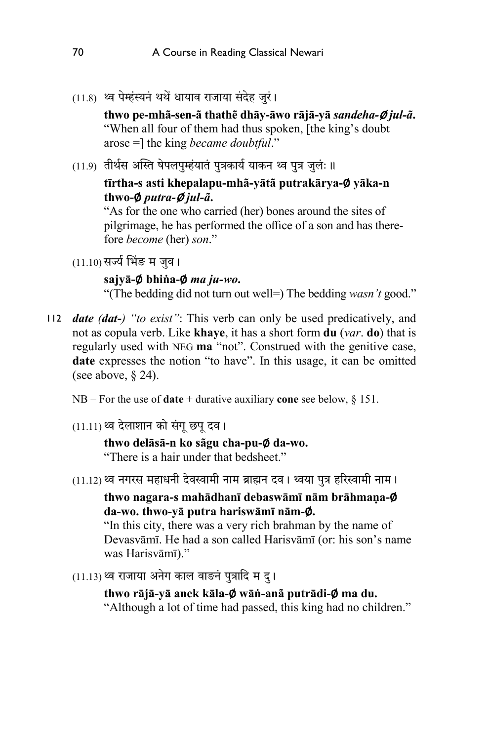$(11.8)$  ध्व पेम्हंस्यनं थथें धायाव राजाया संदेह जरं।

**thwo pe-mhã-sen-ã thathẽ dhāy-āwo rājā-yā** *sandeha-*∅ *jul-ã***.**  "When all four of them had thus spoken, [the king's doubt arose =] the king *became doubtful*."

(11.9) तीर्थस अस्ति षेपलपुम्हंयातं पुत्रकार्य याकन थ्व पुत्र जुलंः ॥

### **tīrtha-s asti khepalapu-mhã-yātã putrakārya-**∅ **yāka-n thwo-**∅ *putra-*<sup>∅</sup> *jul-ã***.**

"As for the one who carried (her) bones around the sites of pilgrimage, he has performed the office of a son and has therefore *become* (her) *son*."

 $(11.10)$  सर्ज्य भिंङ म जुव।

#### **sajyā-**∅ **bhiṅa-**∅ *ma ju-wo***.**

"(The bedding did not turn out well=) The bedding *wasn't* good."

- *date (dat-) "to exist"*: This verb can only be used predicatively, and 112not as copula verb. Like **khaye**, it has a short form **du** (*var*. **do**) that is regularly used with NEG **ma** "not". Construed with the genitive case, **date** expresses the notion "to have". In this usage, it can be omitted (see above,  $\S$  24).
	- NB For the use of **date** + durative auxiliary **cone** see below, § 151.
	- $(11.11)$ थ्व देलाशान को संगू छपू दव।

# **thwo delāsā-n ko sãgu cha-pu-**∅ **da-wo.**

"There is a hair under that bedsheet."

(11.12) थ्व नगरस महाधनी देवस्वामी नाम ब्राह्मन दव। थ्वया पत्र हरिस्वामी नाम।

### **thwo nagara-s mahādhanī debaswāmī nām brāhmaṇa-**∅ **da-wo. thwo-yā putra hariswāmī nām-**∅**.**

"In this city, there was a very rich brahman by the name of Devasvāmī. He had a son called Harisvāmī (or: his son's name was Harisvāmī)."

 $(11.13)$  थ्व राजाया अनेग काल वाङनं पुत्रादि म द्।

**thwo rājā-yā anek kāla-**∅ **wāṅ-anã putrādi-**∅ **ma du.**  "Although a lot of time had passed, this king had no children."